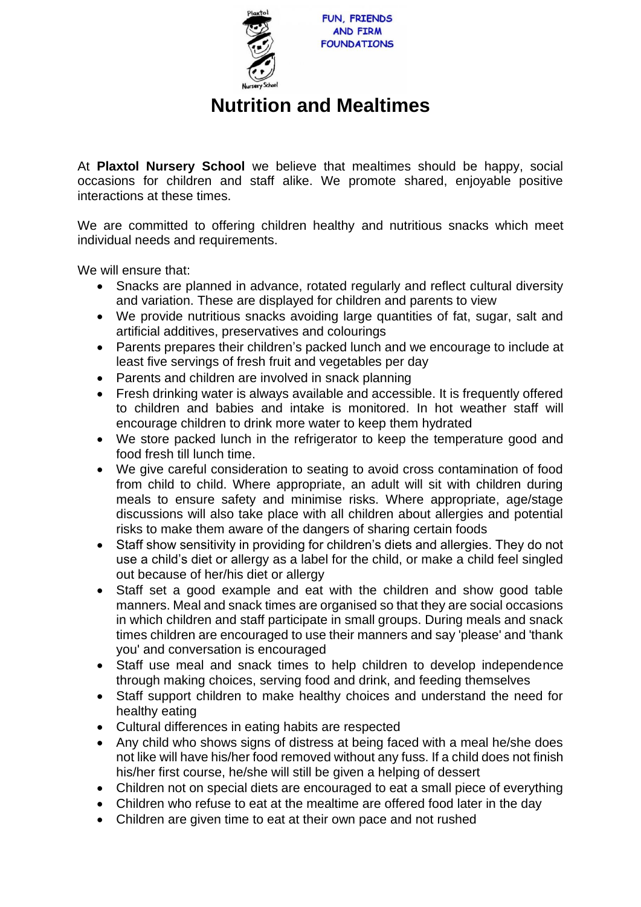

## **Nutrition and Mealtimes**

At **Plaxtol Nursery School** we believe that mealtimes should be happy, social occasions for children and staff alike. We promote shared, enjoyable positive interactions at these times.

We are committed to offering children healthy and nutritious snacks which meet individual needs and requirements.

We will ensure that:

- Snacks are planned in advance, rotated regularly and reflect cultural diversity and variation. These are displayed for children and parents to view
- We provide nutritious snacks avoiding large quantities of fat, sugar, salt and artificial additives, preservatives and colourings
- Parents prepares their children's packed lunch and we encourage to include at least five servings of fresh fruit and vegetables per day
- Parents and children are involved in snack planning
- Fresh drinking water is always available and accessible. It is frequently offered to children and babies and intake is monitored. In hot weather staff will encourage children to drink more water to keep them hydrated
- We store packed lunch in the refrigerator to keep the temperature good and food fresh till lunch time.
- We give careful consideration to seating to avoid cross contamination of food from child to child. Where appropriate, an adult will sit with children during meals to ensure safety and minimise risks. Where appropriate, age/stage discussions will also take place with all children about allergies and potential risks to make them aware of the dangers of sharing certain foods
- Staff show sensitivity in providing for children's diets and allergies. They do not use a child's diet or allergy as a label for the child, or make a child feel singled out because of her/his diet or allergy
- Staff set a good example and eat with the children and show good table manners. Meal and snack times are organised so that they are social occasions in which children and staff participate in small groups. During meals and snack times children are encouraged to use their manners and say 'please' and 'thank you' and conversation is encouraged
- Staff use meal and snack times to help children to develop independence through making choices, serving food and drink, and feeding themselves
- Staff support children to make healthy choices and understand the need for healthy eating
- Cultural differences in eating habits are respected
- Any child who shows signs of distress at being faced with a meal he/she does not like will have his/her food removed without any fuss. If a child does not finish his/her first course, he/she will still be given a helping of dessert
- Children not on special diets are encouraged to eat a small piece of everything
- Children who refuse to eat at the mealtime are offered food later in the day
- Children are given time to eat at their own pace and not rushed